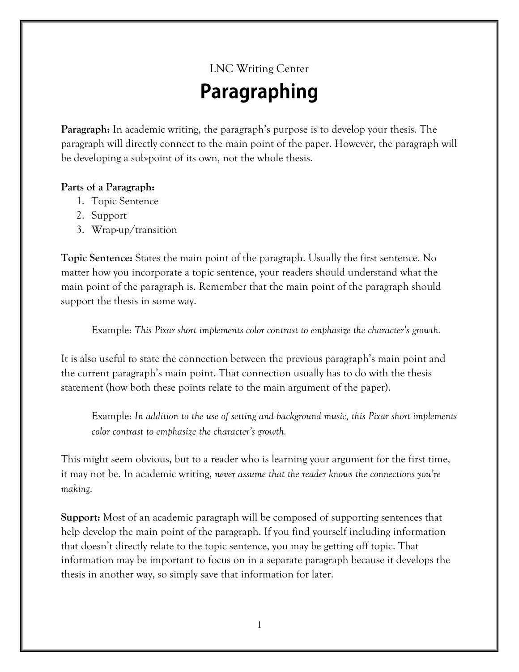## LNC Writing Center Paragraphing

**Paragraph:** In academic writing, the paragraph's purpose is to develop your thesis. The paragraph will directly connect to the main point of the paper. However, the paragraph will be developing a sub-point of its own, not the whole thesis.

## **Parts of a Paragraph:**

- 1. Topic Sentence
- 2. Support
- 3. Wrap-up/transition

**Topic Sentence:** States the main point of the paragraph. Usually the first sentence. No matter how you incorporate a topic sentence, your readers should understand what the main point of the paragraph is. Remember that the main point of the paragraph should support the thesis in some way.

Example: *This Pixar short implements color contrast to emphasize the character's growth.*

It is also useful to state the connection between the previous paragraph's main point and the current paragraph's main point. That connection usually has to do with the thesis statement (how both these points relate to the main argument of the paper).

Example: *In addition to the use of setting and background music, this Pixar short implements color contrast to emphasize the character's growth.*

This might seem obvious, but to a reader who is learning your argument for the first time, it may not be. In academic writing, *never assume that the reader knows the connections you're making*.

**Support:** Most of an academic paragraph will be composed of supporting sentences that help develop the main point of the paragraph. If you find yourself including information that doesn't directly relate to the topic sentence, you may be getting off topic. That information may be important to focus on in a separate paragraph because it develops the thesis in another way, so simply save that information for later.